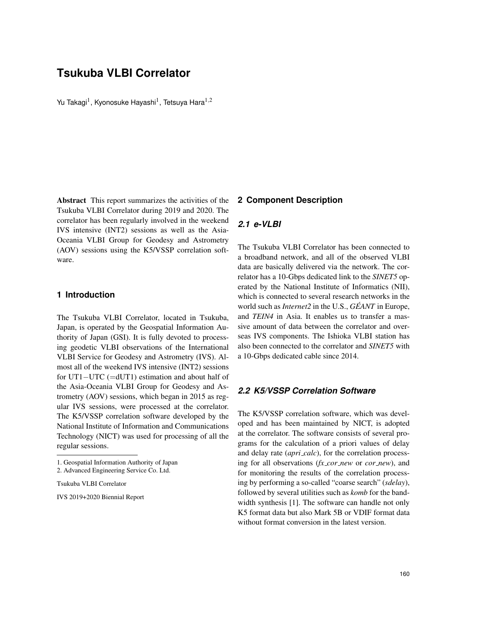# **Tsukuba VLBI Correlator**

Yu Takagi $^1$ , Kyonosuke Hayashi $^1$ , Tetsuya Hara $^{1,2}$ 

Abstract This report summarizes the activities of the Tsukuba VLBI Correlator during 2019 and 2020. The correlator has been regularly involved in the weekend IVS intensive (INT2) sessions as well as the Asia-Oceania VLBI Group for Geodesy and Astrometry (AOV) sessions using the K5/VSSP correlation software.

#### **1 Introduction**

The Tsukuba VLBI Correlator, located in Tsukuba, Japan, is operated by the Geospatial Information Authority of Japan (GSI). It is fully devoted to processing geodetic VLBI observations of the International VLBI Service for Geodesy and Astrometry (IVS). Almost all of the weekend IVS intensive (INT2) sessions for UT1−UTC (=dUT1) estimation and about half of the Asia-Oceania VLBI Group for Geodesy and Astrometry (AOV) sessions, which began in 2015 as regular IVS sessions, were processed at the correlator. The K5/VSSP correlation software developed by the National Institute of Information and Communications Technology (NICT) was used for processing of all the regular sessions.

IVS 2019+2020 Biennial Report

### **2 Component Description**

#### *2.1 e-VLBI*

The Tsukuba VLBI Correlator has been connected to a broadband network, and all of the observed VLBI data are basically delivered via the network. The correlator has a 10-Gbps dedicated link to the *SINET5* operated by the National Institute of Informatics (NII), which is connected to several research networks in the world such as *Internet2* in the U.S., *GÉANT* in Europe, and *TEIN4* in Asia. It enables us to transfer a massive amount of data between the correlator and overseas IVS components. The Ishioka VLBI station has also been connected to the correlator and *SINET5* with a 10-Gbps dedicated cable since 2014.

#### *2.2 K5/VSSP Correlation Software*

The K5/VSSP correlation software, which was developed and has been maintained by NICT, is adopted at the correlator. The software consists of several programs for the calculation of a priori values of delay and delay rate (*apri calc*), for the correlation processing for all observations (*fx cor new* or *cor new*), and for monitoring the results of the correlation processing by performing a so-called "coarse search" (*sdelay*), followed by several utilities such as *komb* for the bandwidth synthesis [1]. The software can handle not only K5 format data but also Mark 5B or VDIF format data without format conversion in the latest version.

<sup>1.</sup> Geospatial Information Authority of Japan

<sup>2.</sup> Advanced Engineering Service Co. Ltd.

Tsukuba VLBI Correlator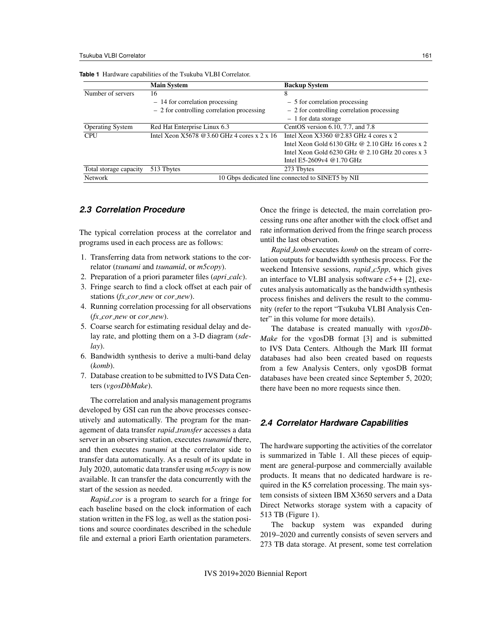|                         | <b>Main System</b>                                | <b>Backup System</b>                                    |  |
|-------------------------|---------------------------------------------------|---------------------------------------------------------|--|
| Number of servers       | 16                                                | 8                                                       |  |
|                         | $-14$ for correlation processing                  | - 5 for correlation processing                          |  |
|                         | - 2 for controlling correlation processing        | - 2 for controlling correlation processing              |  |
|                         |                                                   | $-1$ for data storage                                   |  |
| <b>Operating System</b> | Red Hat Enterprise Linux 6.3                      | CentOS version $6.10$ , $7.7$ , and $7.8$               |  |
| <b>CPU</b>              | Intel Xeon X5678 $@3.60$ GHz 4 cores x 2 x 16     | Intel Xeon $X3360$ @2.83 GHz 4 cores x 2                |  |
|                         |                                                   | Intel Xeon Gold 6130 GHz $\omega$ 2.10 GHz 16 cores x 2 |  |
|                         |                                                   | Intel Xeon Gold 6230 GHz $\omega$ 2.10 GHz 20 cores x 3 |  |
|                         |                                                   | Intel E5-2609v4 @1.70 GHz                               |  |
| Total storage capacity  | 513 Tbytes                                        | 273 Tbytes                                              |  |
| <b>Network</b>          | 10 Gbps dedicated line connected to SINET5 by NII |                                                         |  |

**Table 1** Hardware capabilities of the Tsukuba VLBI Correlator.

## *2.3 Correlation Procedure*

The typical correlation process at the correlator and programs used in each process are as follows:

- 1. Transferring data from network stations to the correlator (*tsunami* and *tsunamid*, or *m5copy*).
- 2. Preparation of a priori parameter files (*apri calc*).
- 3. Fringe search to find a clock offset at each pair of stations (*fx cor new* or *cor new*).
- 4. Running correlation processing for all observations (*fx cor new* or *cor new*).
- 5. Coarse search for estimating residual delay and delay rate, and plotting them on a 3-D diagram (*sdelay*).
- 6. Bandwidth synthesis to derive a multi-band delay (*komb*).
- 7. Database creation to be submitted to IVS Data Centers (*vgosDbMake*).

The correlation and analysis management programs developed by GSI can run the above processes consecutively and automatically. The program for the management of data transfer *rapid transfer* accesses a data server in an observing station, executes *tsunamid* there, and then executes *tsunami* at the correlator side to transfer data automatically. As a result of its update in July 2020, automatic data transfer using *m5copy* is now available. It can transfer the data concurrently with the start of the session as needed.

*Rapid cor* is a program to search for a fringe for each baseline based on the clock information of each station written in the FS log, as well as the station positions and source coordinates described in the schedule file and external a priori Earth orientation parameters. Once the fringe is detected, the main correlation processing runs one after another with the clock offset and rate information derived from the fringe search process until the last observation.

*Rapid komb* executes *komb* on the stream of correlation outputs for bandwidth synthesis process. For the weekend Intensive sessions, *rapid c5pp*, which gives an interface to VLBI analysis software *c5++* [2], executes analysis automatically as the bandwidth synthesis process finishes and delivers the result to the community (refer to the report "Tsukuba VLBI Analysis Center" in this volume for more details).

The database is created manually with *vgosDb-Make* for the vgosDB format [3] and is submitted to IVS Data Centers. Although the Mark III format databases had also been created based on requests from a few Analysis Centers, only vgosDB format databases have been created since September 5, 2020; there have been no more requests since then.

#### *2.4 Correlator Hardware Capabilities*

The hardware supporting the activities of the correlator is summarized in Table 1. All these pieces of equipment are general-purpose and commercially available products. It means that no dedicated hardware is required in the K5 correlation processing. The main system consists of sixteen IBM X3650 servers and a Data Direct Networks storage system with a capacity of 513 TB (Figure 1).

The backup system was expanded during 2019–2020 and currently consists of seven servers and 273 TB data storage. At present, some test correlation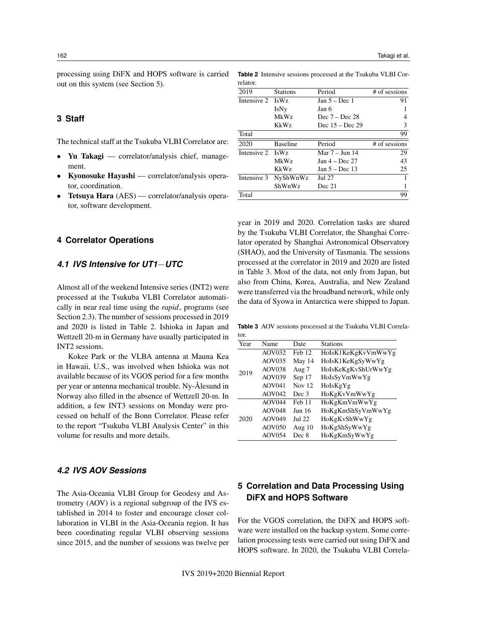processing using DiFX and HOPS software is carried out on this system (see Section 5).

**3 Staff**

The technical staff at the Tsukuba VLBI Correlator are:

- Yu Takagi correlator/analysis chief, management.
- Kyonosuke Hayashi correlator/analysis operator, coordination.
- Tetsuya Hara (AES) correlator/analysis operator, software development.

#### **4 Correlator Operations**

#### *4.1 IVS Intensive for UT1*−*UTC*

Almost all of the weekend Intensive series (INT2) were processed at the Tsukuba VLBI Correlator automatically in near real time using the *rapid* programs (see Section 2.3). The number of sessions processed in 2019 and 2020 is listed in Table 2. Ishioka in Japan and Wettzell 20-m in Germany have usually participated in INT2 sessions.

Kokee Park or the VLBA antenna at Mauna Kea in Hawaii, U.S., was involved when Ishioka was not available because of its VGOS period for a few months per year or antenna mechanical trouble. Ny-Ålesund in Norway also filled in the absence of Wettzell 20-m. In addition, a few INT3 sessions on Monday were processed on behalf of the Bonn Correlator. Please refer to the report "Tsukuba VLBI Analysis Center" in this volume for results and more details.

# *4.2 IVS AOV Sessions*

The Asia-Oceania VLBI Group for Geodesy and Astrometry (AOV) is a regional subgroup of the IVS established in 2014 to foster and encourage closer collaboration in VLBI in the Asia-Oceania region. It has been coordinating regular VLBI observing sessions since 2015, and the number of sessions was twelve per

| 2019             | <b>Stations</b> | Period            | # of sessions |
|------------------|-----------------|-------------------|---------------|
| Intensive 2      | IsWz            | Jan $5 - Dec$ 1   | 91            |
|                  | IsNy            | Jan 6             | 1             |
|                  | <b>MkWz</b>     | Dec $7 - Dec 28$  | 4             |
|                  | KkWz            | Dec $15 - Dec 29$ | 3             |
| Total            |                 |                   | 99            |
| 2020             | <b>Baseline</b> | Period            | # of sessions |
| Intensive 2 IsWz |                 | Mar 7 – Jun 14    | 29            |
|                  | <b>MkWz</b>     | Jan $4 - Dec$ 27  | 43            |
|                  | <b>KkWz</b>     | Jan $5 - Dec$ 13  | 25            |
| Intensive 3      | NyShWnWz        | Jul 27            | 1             |
|                  | ShWnWz          | Dec 21            |               |
| Total            |                 |                   | 99            |

**Table 2** Intensive sessions processed at the Tsukuba VLBI Cor-

relator.

year in 2019 and 2020. Correlation tasks are shared by the Tsukuba VLBI Correlator, the Shanghai Correlator operated by Shanghai Astronomical Observatory (SHAO), and the University of Tasmania. The sessions processed at the correlator in 2019 and 2020 are listed in Table 3. Most of the data, not only from Japan, but also from China, Korea, Australia, and New Zealand were transferred via the broadband network, while only the data of Syowa in Antarctica were shipped to Japan.

**Table 3** AOV sessions processed at the Tsukuba VLBI Correlator.

| Year | Name               | Date     | <b>Stations</b>    |
|------|--------------------|----------|--------------------|
| 2019 | AOV032             | Feb 12   | HoIsK1KeKgKvVmWwYg |
|      | AOV035             | May 14   | HoIsK1KeKgSyWwYg   |
|      | <b>AOV038</b>      | Aug 7    | HolsKeKgKvShUrWwYg |
|      | AOV039             | Sep 17   | HoIsSyVmWwYg       |
|      | AOV <sub>041</sub> | Nov $12$ | HolsKgYg           |
|      | AOV <sub>042</sub> | Dec 3    | HoKgKvVmWwYg       |
| 2020 | AOV <sub>044</sub> | Feb 11   | HoKgKmVmWwYg       |
|      | <b>AOV048</b>      | Jun 16   | HoKgKmShSyVmWwYg   |
|      | AOV049             | Jul 22   | HoKgKvShWwYg       |
|      | <b>AOV050</b>      | Aug $10$ | HoKgShSyWwYg       |
|      | <b>AOV054</b>      | Dec 8    | HoKgKmSyWwYg       |

# **5 Correlation and Data Processing Using DiFX and HOPS Software**

For the VGOS correlation, the DiFX and HOPS software were installed on the backup system. Some correlation processing tests were carried out using DiFX and HOPS software. In 2020, the Tsukuba VLBI Correla-